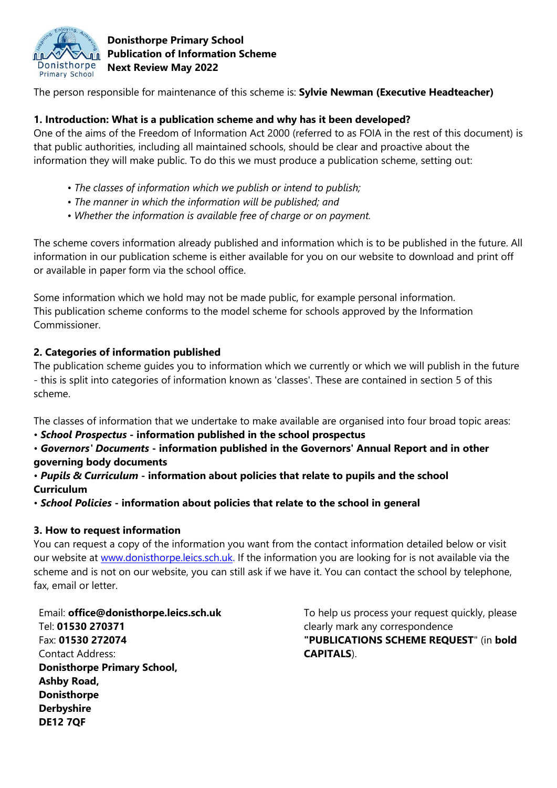

## **Donisthorpe Primary School Publication of Information Scheme Next Review May 2022**

The person responsible for maintenance of this scheme is: **Sylvie Newman (Executive Headteacher)**

## **1. Introduction: What is a publication scheme and why has it been developed?**

One of the aims of the Freedom of Information Act 2000 (referred to as FOIA in the rest of this document) is that public authorities, including all maintained schools, should be clear and proactive about the information they will make public. To do this we must produce a publication scheme, setting out:

- *The classes of information which we publish or intend to publish;*
- *The manner in which the information will be published; and*
- *Whether the information is available free of charge or on payment.*

The scheme covers information already published and information which is to be published in the future. All information in our publication scheme is either available for you on our website to download and print off or available in paper form via the school office.

Some information which we hold may not be made public, for example personal information. This publication scheme conforms to the model scheme for schools approved by the Information Commissioner.

# **2. Categories of information published**

The publication scheme guides you to information which we currently or which we will publish in the future - this is split into categories of information known as 'classes'. These are contained in section 5 of this scheme.

The classes of information that we undertake to make available are organised into four broad topic areas:

- *School Prospectus* **- information published in the school prospectus**
- *Governors' Documents* **- information published in the Governors' Annual Report and in other governing body documents**
- *Pupils & Curriculum* **- information about policies that relate to pupils and the school Curriculum**
- *School Policies* **- information about policies that relate to the school in general**

#### **3. How to request information**

You can request a copy of the information you want from the contact information detailed below or visit our website at [www.donisthorpe.leics.sch.uk.](http://www.donisthorpe.leics.sch.uk/) If the information you are looking for is not available via the scheme and is not on our website, you can still ask if we have it. You can contact the school by telephone, fax, email or letter.

Email: **office@donisthorpe.leics.sch.uk** Tel: **01530 270371** Fax: **01530 272074** Contact Address: **Donisthorpe Primary School, Ashby Road, Donisthorpe Derbyshire DE12 7QF**

To help us process your request quickly, please clearly mark any correspondence **"PUBLICATIONS SCHEME REQUEST**" (in **bold CAPITALS**).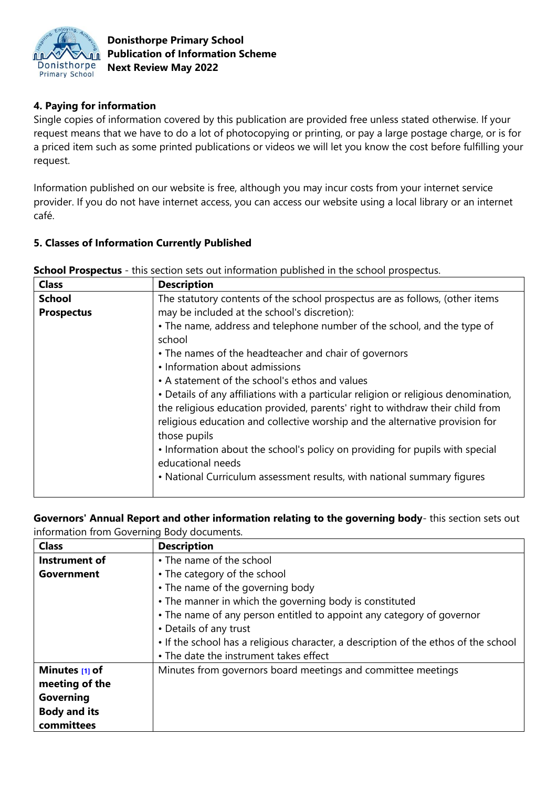

## **Donisthorpe Primary School Publication of Information Scheme Next Review May 2022**

# **4. Paying for information**

Single copies of information covered by this publication are provided free unless stated otherwise. If your request means that we have to do a lot of photocopying or printing, or pay a large postage charge, or is for a priced item such as some printed publications or videos we will let you know the cost before fulfilling your request.

Information published on our website is free, although you may incur costs from your internet service provider. If you do not have internet access, you can access our website using a local library or an internet café.

#### **5. Classes of Information Currently Published**

| <b>Class</b>      | <b>Description</b>                                                                                                                                                                                                                                                   |
|-------------------|----------------------------------------------------------------------------------------------------------------------------------------------------------------------------------------------------------------------------------------------------------------------|
| <b>School</b>     | The statutory contents of the school prospectus are as follows, (other items                                                                                                                                                                                         |
| <b>Prospectus</b> | may be included at the school's discretion):                                                                                                                                                                                                                         |
|                   | • The name, address and telephone number of the school, and the type of<br>school                                                                                                                                                                                    |
|                   | • The names of the headteacher and chair of governors                                                                                                                                                                                                                |
|                   | • Information about admissions                                                                                                                                                                                                                                       |
|                   | • A statement of the school's ethos and values                                                                                                                                                                                                                       |
|                   | • Details of any affiliations with a particular religion or religious denomination,<br>the religious education provided, parents' right to withdraw their child from<br>religious education and collective worship and the alternative provision for<br>those pupils |
|                   | • Information about the school's policy on providing for pupils with special<br>educational needs<br>• National Curriculum assessment results, with national summary figures                                                                                         |
|                   |                                                                                                                                                                                                                                                                      |

**School Prospectus** - this section sets out information published in the school prospectus.

#### **Governors' Annual Report and other information relating to the governing body**- this section sets out information from Governing Body documents.

| <b>Class</b>        | <b>Description</b>                                                                  |
|---------------------|-------------------------------------------------------------------------------------|
| Instrument of       | • The name of the school                                                            |
| Government          | • The category of the school                                                        |
|                     | • The name of the governing body                                                    |
|                     | • The manner in which the governing body is constituted                             |
|                     | • The name of any person entitled to appoint any category of governor               |
|                     | • Details of any trust                                                              |
|                     | • If the school has a religious character, a description of the ethos of the school |
|                     | • The date the instrument takes effect                                              |
| Minutes [1] of      | Minutes from governors board meetings and committee meetings                        |
| meeting of the      |                                                                                     |
| Governing           |                                                                                     |
| <b>Body and its</b> |                                                                                     |
| committees          |                                                                                     |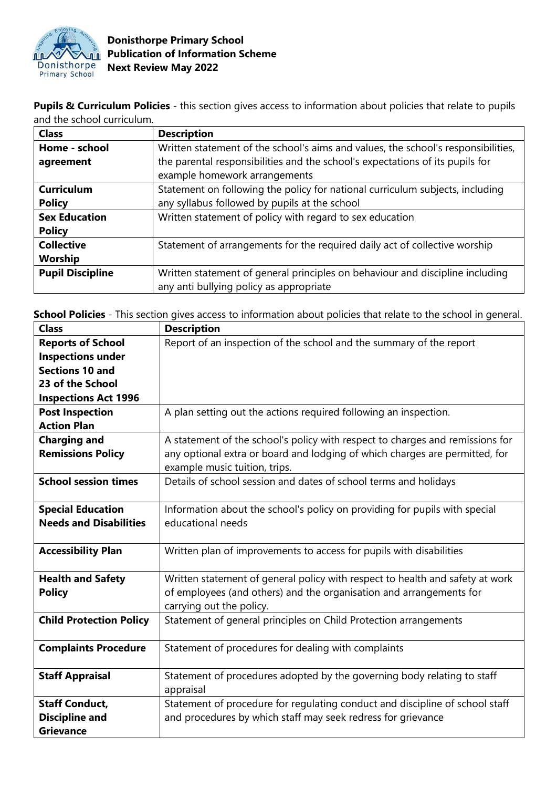

**Pupils & Curriculum Policies** - this section gives access to information about policies that relate to pupils and the school curriculum.

| <b>Class</b>            | <b>Description</b>                                                                                             |
|-------------------------|----------------------------------------------------------------------------------------------------------------|
| Home - school           | Written statement of the school's aims and values, the school's responsibilities,                              |
| agreement               | the parental responsibilities and the school's expectations of its pupils for<br>example homework arrangements |
| <b>Curriculum</b>       | Statement on following the policy for national curriculum subjects, including                                  |
| <b>Policy</b>           | any syllabus followed by pupils at the school                                                                  |
| <b>Sex Education</b>    | Written statement of policy with regard to sex education                                                       |
| <b>Policy</b>           |                                                                                                                |
| <b>Collective</b>       | Statement of arrangements for the required daily act of collective worship                                     |
| Worship                 |                                                                                                                |
| <b>Pupil Discipline</b> | Written statement of general principles on behaviour and discipline including                                  |
|                         | any anti bullying policy as appropriate                                                                        |

**School Policies** - This section gives access to information about policies that relate to the school in general.

| <b>Class</b>                   | <b>Description</b>                                                            |
|--------------------------------|-------------------------------------------------------------------------------|
| <b>Reports of School</b>       | Report of an inspection of the school and the summary of the report           |
| <b>Inspections under</b>       |                                                                               |
| <b>Sections 10 and</b>         |                                                                               |
| 23 of the School               |                                                                               |
| <b>Inspections Act 1996</b>    |                                                                               |
| <b>Post Inspection</b>         | A plan setting out the actions required following an inspection.              |
| <b>Action Plan</b>             |                                                                               |
| <b>Charging and</b>            | A statement of the school's policy with respect to charges and remissions for |
| <b>Remissions Policy</b>       | any optional extra or board and lodging of which charges are permitted, for   |
|                                | example music tuition, trips.                                                 |
| <b>School session times</b>    | Details of school session and dates of school terms and holidays              |
|                                |                                                                               |
| <b>Special Education</b>       | Information about the school's policy on providing for pupils with special    |
| <b>Needs and Disabilities</b>  | educational needs                                                             |
|                                |                                                                               |
| <b>Accessibility Plan</b>      | Written plan of improvements to access for pupils with disabilities           |
|                                |                                                                               |
| <b>Health and Safety</b>       | Written statement of general policy with respect to health and safety at work |
| <b>Policy</b>                  | of employees (and others) and the organisation and arrangements for           |
|                                | carrying out the policy.                                                      |
| <b>Child Protection Policy</b> | Statement of general principles on Child Protection arrangements              |
|                                |                                                                               |
| <b>Complaints Procedure</b>    | Statement of procedures for dealing with complaints                           |
|                                |                                                                               |
| <b>Staff Appraisal</b>         | Statement of procedures adopted by the governing body relating to staff       |
|                                | appraisal                                                                     |
| <b>Staff Conduct,</b>          | Statement of procedure for regulating conduct and discipline of school staff  |
| <b>Discipline and</b>          | and procedures by which staff may seek redress for grievance                  |
| <b>Grievance</b>               |                                                                               |